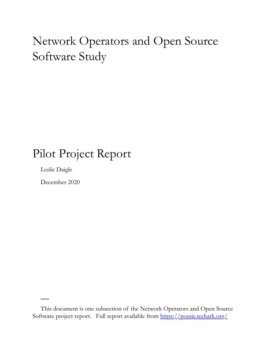# Network Operators and Open Source Software Study

## Pilot Project Report

Leslie Daigle

December 2020

This document is one subsection of the Network Operators and Open Source Software project report. Full report available from<https://possie.techark.org/>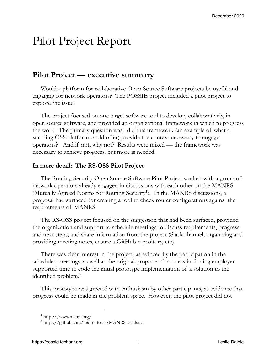## Pilot Project Report

### **Pilot Project — executive summary**

Would a platform for collaborative Open Source Software projects be useful and engaging for network operators? The POSSIE project included a pilot project to explore the issue.

The project focused on one target software tool to develop, collaboratively, in open source software, and provided an organizational framework in which to progress the work. The primary question was: did this framework (an example of what a standing OSS platform could offer) provide the context necessary to engage operators? And if not, why not? Results were mixed — the framework was necessary to achieve progress, but more is needed.

#### **In more detail: The RS-OSS Pilot Project**

The Routing Security Open Source Software Pilot Project worked with a group of network operators already engaged in discussions with each other on the MANRS (Mutually Agreed Norms for Routing Security<sup>1</sup>). In the MANRS discussions, a proposal had surfaced for creating a tool to check router configurations against the requirements of MANRS.

The RS-OSS project focused on the suggestion that had been surfaced, provided the organization and support to schedule meetings to discuss requirements, progress and next steps, and share information from the project (Slack channel, organizing and providing meeting notes, ensure a GitHub repository, etc).

There was clear interest in the project, as evinced by the participation in the scheduled meetings, as well as the original proponent's success in finding employersupported time to code the initial prototype implementation of a solution to the identified problem.2

This prototype was greeted with enthusiasm by other participants, as evidence that progress could be made in the problem space. However, the pilot project did not

<sup>1</sup> https://www.manrs.org/

<sup>2</sup> https://github.com/manrs-tools/MANRS-validator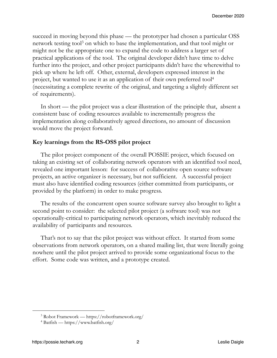succeed in moving beyond this phase — the prototyper had chosen a particular OSS network testing tool<sup>3</sup> on which to base the implementation, and that tool might or might not be the appropriate one to expand the code to address a larger set of practical applications of the tool. The original developer didn't have time to delve further into the project, and other project participants didn't have the wherewithal to pick up where he left off. Other, external, developers expressed interest in the project, but wanted to use it as an application of their own preferred tool<sup>4</sup> (necessitating a complete rewrite of the original, and targeting a slightly different set of requirements).

In short — the pilot project was a clear illustration of the principle that, absent a consistent base of coding resources available to incrementally progress the implementation along collaboratively agreed directions, no amount of discussion would move the project forward.

#### **Key learnings from the RS-OSS pilot project**

The pilot project component of the overall POSSIE project, which focused on taking an existing set of collaborating network operators with an identified tool need, revealed one important lesson: for success of collaborative open source software projects, an active organizer is necessary, but not sufficient. A successful project must also have identified coding resources (either committed from participants, or provided by the platform) in order to make progress.

The results of the concurrent open source software survey also brought to light a second point to consider: the selected pilot project (a software tool) was not operationally-critical to participating network operators, which inevitably reduced the availability of participants and resources.

That's not to say that the pilot project was without effect. It started from some observations from network operators, on a shared mailing list, that were literally going nowhere until the pilot project arrived to provide some organizational focus to the effort. Some code was written, and a prototype created.

<sup>3</sup> Robot Framework — https://robotframework.org/

<sup>4</sup> Batfish — https://www.batfish.org/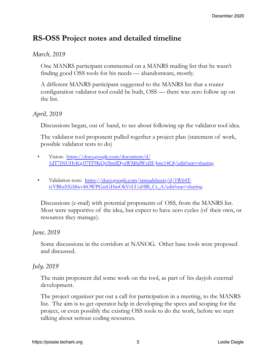### **RS-OSS Project notes and detailed timeline**

#### *March, 2019*

One MANRS participant commented on a MANRS mailing list that he wasn't finding good OSS tools for his needs — abandonware, mostly.

A different MANRS participant suggested to the MANRS list that a router configuration validator tool could be built, OSS — there was zero follow up on the list.

#### *April, 2019*

Discussions began, out of band, to see about following up the validator tool idea.

The validator tool proponent pulled together a project plan (statement of work, possible validator tests to do)

- Vision: [https://docs.google.com/document/d/](https://docs.google.com/document/d/1dT7iNUHvKg1l7IT9KQz5bnIDyuWM6dWxIII-Jmc14C8/edit?usp=sharing) [1dT7iNUHvKg1l7IT9KQz5bnIDyuWM6dWxIII-Jmc14C8/edit?usp=sharing](https://docs.google.com/document/d/1dT7iNUHvKg1l7IT9KQz5bnIDyuWM6dWxIII-Jmc14C8/edit?usp=sharing)
- Validation tests: [https://docs.google.com/spreadsheets/d/1W64T](https://docs.google.com/spreadsheets/d/1W64T-tyVBbzSXjMwy4iOWPGjxGHmOkVyLUuHBl_Ct_A/edit?usp=sharing)[tyVBbzSXjMwy4iOWPGjxGHmOkVyLUuHBl\\_Ct\\_A/edit?usp=sharing](https://docs.google.com/spreadsheets/d/1W64T-tyVBbzSXjMwy4iOWPGjxGHmOkVyLUuHBl_Ct_A/edit?usp=sharing)

Discussions (e-mail) with potential proponents of OSS, from the MANRS list. Most were supportive of the idea, but expect to have zero cycles (of their own, or resources they manage).

#### *June, 2019*

Some discussions in the corridors at NANOG. Other base tools were proposed and discussed.

#### *July, 2019*

The main proponent did some work on the tool, as part of his dayjob external development.

The project organizer put out a call for participation in a meeting, to the MANRS list. The aim is to get operator help in developing the specs and scoping for the project, or even possibly the existing OSS tools to do the work, before we start talking about serious coding resources.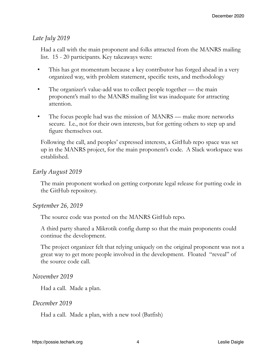#### *Late July 2019*

Had a call with the main proponent and folks attracted from the MANRS mailing list. 15 - 20 participants. Key takeaways were:

- This has got momentum because a key contributor has forged ahead in a very organized way, with problem statement, specific tests, and methodology
- The organizer's value-add was to collect people together the main proponent's mail to the MANRS mailing list was inadequate for attracting attention.
- The focus people had was the mission of MANRS make more networks secure. I.e., not for their own interests, but for getting others to step up and figure themselves out.

Following the call, and peoples' expressed interests, a GitHub repo space was set up in the MANRS project, for the main proponent's code. A Slack workspace was established.

#### *Early August 2019*

The main proponent worked on getting corporate legal release for putting code in the GitHub repository.

#### *September 26, 2019*

The source code was posted on the MANRS GitHub repo.

A third party shared a Mikrotik config dump so that the main proponents could continue the development.

The project organizer felt that relying uniquely on the original proponent was not a great way to get more people involved in the development. Floated "reveal" of the source code call.

#### *November 2019*

Had a call. Made a plan.

#### *December 2019*

Had a call. Made a plan, with a new tool (Batfish)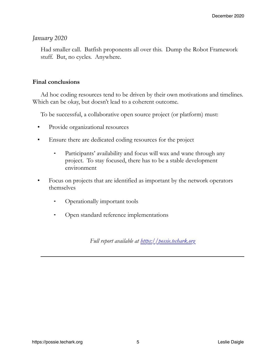#### *January 2020*

Had smaller call. Batfish proponents all over this. Dump the Robot Framework stuff. But, no cycles. Anywhere.

#### **Final conclusions**

Ad hoc coding resources tend to be driven by their own motivations and timelines. Which can be okay, but doesn't lead to a coherent outcome.

To be successful, a collaborative open source project (or platform) must:

- Provide organizational resources
- Ensure there are dedicated coding resources for the project
	- ⁃ Participants' availability and focus will wax and wane through any project. To stay focused, there has to be a stable development environment
- Focus on projects that are identified as important by the network operators themselves
	- Operationally important tools
	- ⁃ Open standard reference implementations

*Full report available at<https://possie.techark.org>*